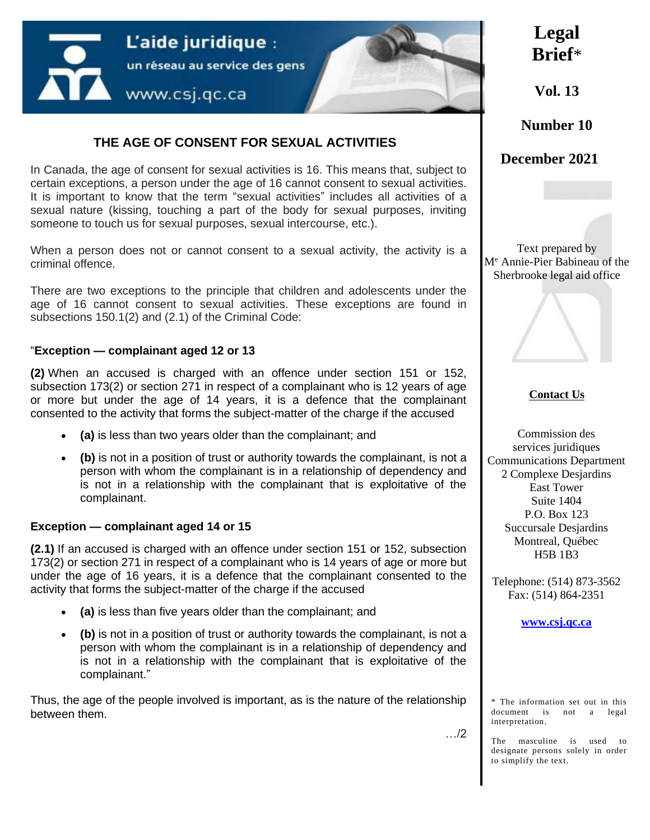

## **THE AGE OF CONSENT FOR SEXUAL ACTIVITIES**

In Canada, the age of consent for sexual activities is 16. This means that, subject to certain exceptions, a person under the age of 16 cannot consent to sexual activities. It is important to know that the term "sexual activities" includes all activities of a sexual nature (kissing, touching a part of the body for sexual purposes, inviting someone to touch us for sexual purposes, sexual intercourse, etc.).

When a person does not or cannot consent to a sexual activity, the activity is a criminal offence.

There are two exceptions to the principle that children and adolescents under the age of 16 cannot consent to sexual activities. These exceptions are found in subsections 150.1(2) and (2.1) of the Criminal Code:

#### "**Exception — complainant aged 12 or 13**

**(2)** When an accused is charged with an offence under section 151 or 152, subsection 173(2) or section 271 in respect of a complainant who is 12 years of age or more but under the age of 14 years, it is a defence that the complainant consented to the activity that forms the subject-matter of the charge if the accused

- **(a)** is less than two years older than the complainant; and
- **(b)** is not in a position of trust or authority towards the complainant, is not a person with whom the complainant is in a relationship of dependency and is not in a relationship with the complainant that is exploitative of the complainant.

#### **Exception — complainant aged 14 or 15**

**(2.1)** If an accused is charged with an offence under section 151 or 152, subsection 173(2) or section 271 in respect of a complainant who is 14 years of age or more but under the age of 16 years, it is a defence that the complainant consented to the activity that forms the subject-matter of the charge if the accused

- **(a)** is less than five years older than the complainant; and
- **(b)** is not in a position of trust or authority towards the complainant, is not a person with whom the complainant is in a relationship of dependency and is not in a relationship with the complainant that is exploitative of the complainant."

Thus, the age of the people involved is important, as is the nature of the relationship between them.

**Legal Brief**\*

**Vol. 13**

**Number 10**

**December 2021**

Text prepared by M<sup>e</sup> Annie-Pier Babineau of the Sherbrooke legal aid office



#### **Contact Us**

Commission des services juridiques Communications Department 2 Complexe Desjardins East Tower Suite 1404 P.O. Box 123 Succursale Desjardins Montreal, Québec H5B 1B3

Telephone: (514) 873-3562 Fax: (514) 864-2351

#### **[www.csj.qc.ca](http://www.csj.qc.ca/)**

\* The information set out in this document is not a legal interpretation.

The masculine is used to designate persons solely in order to simplify the text.

…/2